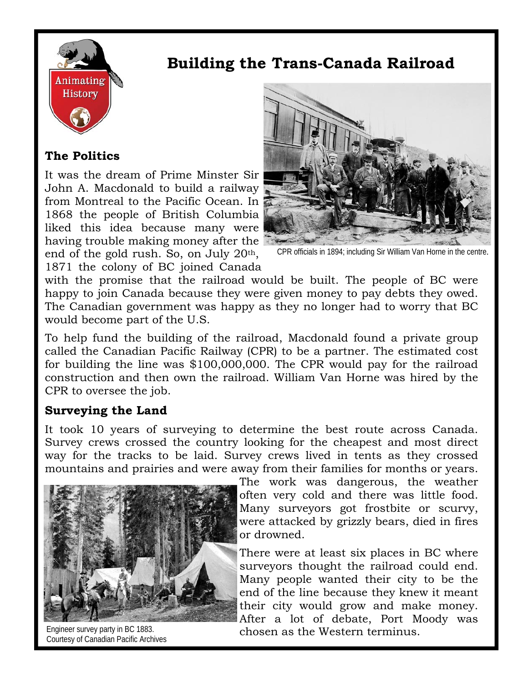

# **The Politics**

It was the dream of Prime Minster Sir John A. Macdonald to build a railway from Montreal to the Pacific Ocean. In 1868 the people of British Columbia liked this idea because many were having trouble making money after the end of the gold rush. So, on July 20th, 1871 the colony of BC joined Canada



**Building the Trans-Canada Railroad** 

CPR officials in 1894; including Sir William Van Horne in the centre.

with the promise that the railroad would be built. The people of BC were happy to join Canada because they were given money to pay debts they owed. The Canadian government was happy as they no longer had to worry that BC would become part of the U.S.

To help fund the building of the railroad, Macdonald found a private group called the Canadian Pacific Railway (CPR) to be a partner. The estimated cost for building the line was \$100,000,000. The CPR would pay for the railroad construction and then own the railroad. William Van Horne was hired by the CPR to oversee the job.

# **Surveying the Land**

It took 10 years of surveying to determine the best route across Canada. Survey crews crossed the country looking for the cheapest and most direct way for the tracks to be laid. Survey crews lived in tents as they crossed mountains and prairies and were away from their families for months or years.



Courtesy of Canadian Pacific Archives

The work was dangerous, the weather often very cold and there was little food. Many surveyors got frostbite or scurvy, were attacked by grizzly bears, died in fires or drowned.

There were at least six places in BC where surveyors thought the railroad could end. Many people wanted their city to be the end of the line because they knew it meant their city would grow and make money. After a lot of debate, Port Moody was Engineer survey party in BC 1883. Chosen as the Western terminus.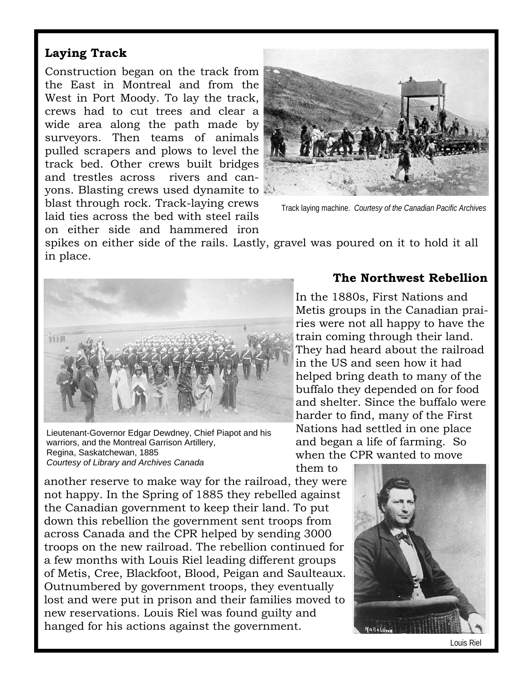## **Laying Track**

Construction began on the track from the East in Montreal and from the West in Port Moody. To lay the track, crews had to cut trees and clear a wide area along the path made by surveyors. Then teams of animals pulled scrapers and plows to level the track bed. Other crews built bridges and trestles across rivers and canyons. Blasting crews used dynamite to blast through rock. Track-laying crews laid ties across the bed with steel rails on either side and hammered iron



Track laying machine. *Courtesy of the Canadian Pacific Archives* 

spikes on either side of the rails. Lastly, gravel was poured on it to hold it all in place.



Lieutenant-Governor Edgar Dewdney, Chief Piapot and his warriors, and the Montreal Garrison Artillery, Regina, Saskatchewan, 1885 *Courtesy of Library and Archives Canada* 

another reserve to make way for the railroad, they were not happy. In the Spring of 1885 they rebelled against the Canadian government to keep their land. To put down this rebellion the government sent troops from across Canada and the CPR helped by sending 3000 troops on the new railroad. The rebellion continued for a few months with Louis Riel leading different groups of Metis, Cree, Blackfoot, Blood, Peigan and Saulteaux. Outnumbered by government troops, they eventually lost and were put in prison and their families moved to new reservations. Louis Riel was found guilty and hanged for his actions against the government.

#### **The Northwest Rebellion**

In the 1880s, First Nations and Metis groups in the Canadian prairies were not all happy to have the train coming through their land. They had heard about the railroad in the US and seen how it had helped bring death to many of the buffalo they depended on for food and shelter. Since the buffalo were harder to find, many of the First Nations had settled in one place and began a life of farming. So when the CPR wanted to move

them to



Louis Riel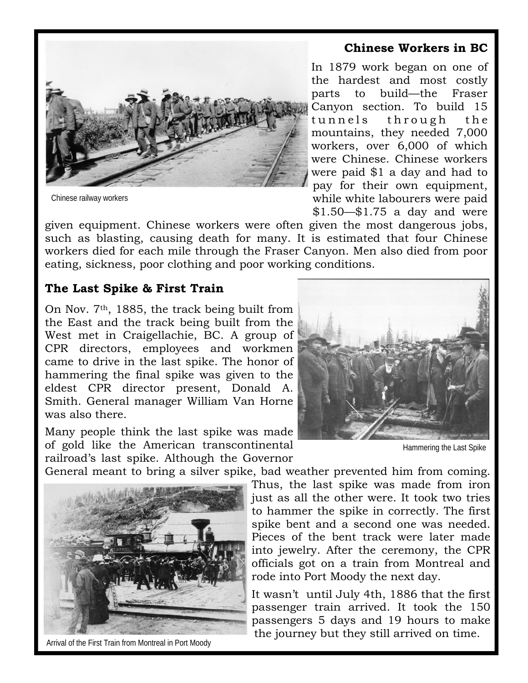### **Chinese Workers in BC**



Chinese railway workers

In 1879 work began on one of the hardest and most costly parts to build—the Fraser Canyon section. To build 15 tunnels through the mountains, they needed 7,000 workers, over 6,000 of which were Chinese. Chinese workers were paid \$1 a day and had to pay for their own equipment, while white labourers were paid \$1.50—\$1.75 a day and were

given equipment. Chinese workers were often given the most dangerous jobs, such as blasting, causing death for many. It is estimated that four Chinese workers died for each mile through the Fraser Canyon. Men also died from poor eating, sickness, poor clothing and poor working conditions.

#### **The Last Spike & First Train**

On Nov. 7th, 1885, the track being built from the East and the track being built from the West met in Craigellachie, BC. A group of CPR directors, employees and workmen came to drive in the last spike. The honor of hammering the final spike was given to the eldest CPR director present, Donald A. Smith. General manager William Van Horne was also there.

Many people think the last spike was made of gold like the American transcontinental railroad's last spike. Although the Governor



Hammering the Last Spike

General meant to bring a silver spike, bad weather prevented him from coming.



Arrival of the First Train from Montreal in Port Moody

Thus, the last spike was made from iron just as all the other were. It took two tries to hammer the spike in correctly. The first spike bent and a second one was needed. Pieces of the bent track were later made into jewelry. After the ceremony, the CPR officials got on a train from Montreal and rode into Port Moody the next day.

It wasn't until July 4th, 1886 that the first passenger train arrived. It took the 150 passengers 5 days and 19 hours to make the journey but they still arrived on time.